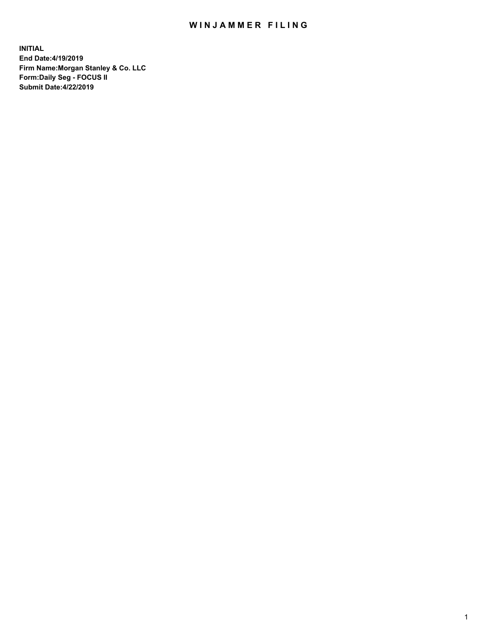## WIN JAMMER FILING

**INITIAL End Date:4/19/2019 Firm Name:Morgan Stanley & Co. LLC Form:Daily Seg - FOCUS II Submit Date:4/22/2019**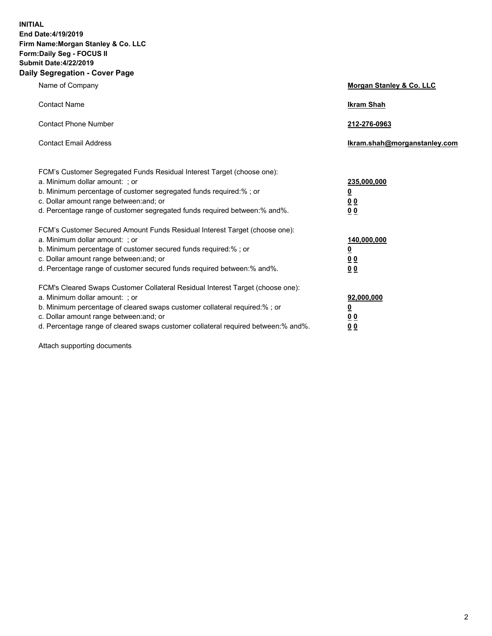**INITIAL End Date:4/19/2019 Firm Name:Morgan Stanley & Co. LLC Form:Daily Seg - FOCUS II Submit Date:4/22/2019 Daily Segregation - Cover Page**

| Name of Company                                                                   | Morgan Stanley & Co. LLC     |
|-----------------------------------------------------------------------------------|------------------------------|
| <b>Contact Name</b>                                                               | <b>Ikram Shah</b>            |
| <b>Contact Phone Number</b>                                                       | 212-276-0963                 |
| <b>Contact Email Address</b>                                                      | Ikram.shah@morganstanley.com |
| FCM's Customer Segregated Funds Residual Interest Target (choose one):            |                              |
| a. Minimum dollar amount: ; or                                                    | 235,000,000                  |
| b. Minimum percentage of customer segregated funds required:% ; or                | <u>0</u>                     |
| c. Dollar amount range between: and; or                                           | <u>0 0</u>                   |
| d. Percentage range of customer segregated funds required between: % and %.       | 0 Q                          |
| FCM's Customer Secured Amount Funds Residual Interest Target (choose one):        |                              |
| a. Minimum dollar amount: ; or                                                    | 140,000,000                  |
| b. Minimum percentage of customer secured funds required:%; or                    | <u>0</u>                     |
| c. Dollar amount range between: and; or                                           | 0 <sub>0</sub>               |
| d. Percentage range of customer secured funds required between:% and%.            | 0 <sub>0</sub>               |
| FCM's Cleared Swaps Customer Collateral Residual Interest Target (choose one):    |                              |
| a. Minimum dollar amount: ; or                                                    | 92,000,000                   |
| b. Minimum percentage of cleared swaps customer collateral required:% ; or        | <u>0</u>                     |
| c. Dollar amount range between: and; or                                           | 0 Q                          |
| d. Percentage range of cleared swaps customer collateral required between:% and%. | 00                           |

Attach supporting documents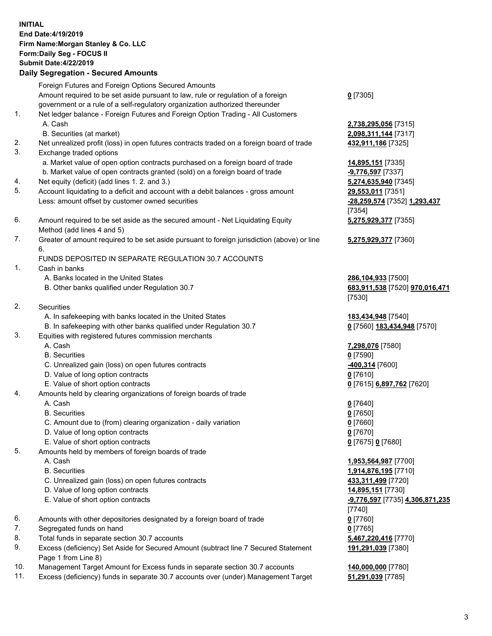## **INITIAL End Date:4/19/2019 Firm Name:Morgan Stanley & Co. LLC Form:Daily Seg - FOCUS II Submit Date:4/22/2019 Daily Segregation - Secured Amounts** Foreign Futures and Foreign Options Secured Amounts Amount required to be set aside pursuant to law, rule or regulation of a foreign government or a rule of a self-regulatory organization authorized thereunder 1. Net ledger balance - Foreign Futures and Foreign Option Trading - All Customers A. Cash **2,738,295,056** [7315] B. Securities (at market) **2,098,311,144** [7317] 2. Net unrealized profit (loss) in open futures contracts traded on a foreign board of trade **432,911,186** [7325] 3. Exchange traded options a. Market value of open option contracts purchased on a foreign board of trade **14,895,151** [7335] b. Market value of open contracts granted (sold) on a foreign board of trade **-9,776,597** [7337] 4. Net equity (deficit) (add lines 1. 2. and 3.) **5,274,635,940** [7345] 5. Account liquidating to a deficit and account with a debit balances - gross amount **29,553,011** [7351] Less: amount offset by customer owned securities **-28,259,574** [7352] **1,293,437** 6. Amount required to be set aside as the secured amount - Net Liquidating Equity Method (add lines 4 and 5) 7. Greater of amount required to be set aside pursuant to foreign jurisdiction (above) or line 6.

## FUNDS DEPOSITED IN SEPARATE REGULATION 30.7 ACCOUNTS

- 1. Cash in banks
	- A. Banks located in the United States **286,104,933** [7500]
	- B. Other banks qualified under Regulation 30.7 **683,911,538** [7520] **970,016,471**
- 2. Securities
	- A. In safekeeping with banks located in the United States **183,434,948** [7540]
	- B. In safekeeping with other banks qualified under Regulation 30.7 **0** [7560] **183,434,948** [7570]
- 3. Equities with registered futures commission merchants
	-
	- B. Securities **0** [7590]
	- C. Unrealized gain (loss) on open futures contracts **-400,314** [7600]
	- D. Value of long option contracts **0** [7610]
- E. Value of short option contracts **0** [7615] **6,897,762** [7620]
- 4. Amounts held by clearing organizations of foreign boards of trade
	- A. Cash **0** [7640]
	- B. Securities **0** [7650]
	- C. Amount due to (from) clearing organization daily variation **0** [7660]
	- D. Value of long option contracts **0** [7670]
	- E. Value of short option contracts **0** [7675] **0** [7680]
- 5. Amounts held by members of foreign boards of trade
	-
	-
	- C. Unrealized gain (loss) on open futures contracts **433,311,499** [7720]
	- D. Value of long option contracts **14,895,151** [7730]
	- E. Value of short option contracts **-9,776,597** [7735] **4,306,871,235**
- 6. Amounts with other depositories designated by a foreign board of trade **0** [7760]
- 7. Segregated funds on hand **0** [7765]
- 8. Total funds in separate section 30.7 accounts **5,467,220,416** [7770]
- 9. Excess (deficiency) Set Aside for Secured Amount (subtract line 7 Secured Statement Page 1 from Line 8)
- 10. Management Target Amount for Excess funds in separate section 30.7 accounts **140,000,000** [7780]
- 11. Excess (deficiency) funds in separate 30.7 accounts over (under) Management Target **51,291,039** [7785]

**0** [7305]

[7354] **5,275,929,377** [7355]

**5,275,929,377** [7360]

[7530]

A. Cash **7,298,076** [7580]

 A. Cash **1,953,564,987** [7700] B. Securities **1,914,876,195** [7710] [7740] **191,291,039** [7380]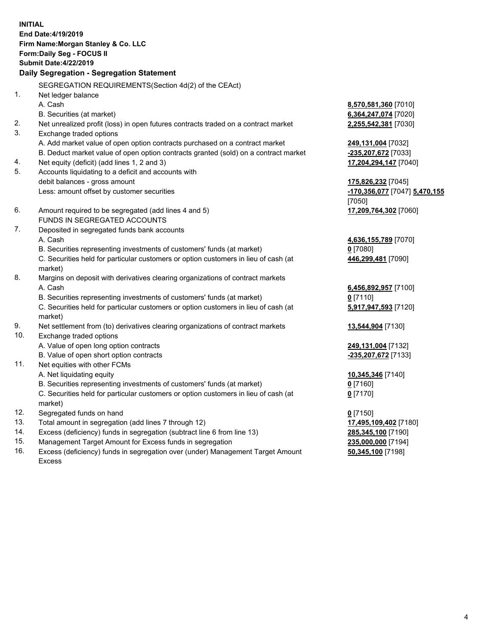**INITIAL End Date:4/19/2019 Firm Name:Morgan Stanley & Co. LLC Form:Daily Seg - FOCUS II Submit Date:4/22/2019 Daily Segregation - Segregation Statement** SEGREGATION REQUIREMENTS(Section 4d(2) of the CEAct) 1. Net ledger balance A. Cash **8,570,581,360** [7010] B. Securities (at market) **6,364,247,074** [7020] 2. Net unrealized profit (loss) in open futures contracts traded on a contract market **2,255,542,381** [7030] 3. Exchange traded options A. Add market value of open option contracts purchased on a contract market **249,131,004** [7032] B. Deduct market value of open option contracts granted (sold) on a contract market **-235,207,672** [7033] 4. Net equity (deficit) (add lines 1, 2 and 3) **17,204,294,147** [7040] 5. Accounts liquidating to a deficit and accounts with debit balances - gross amount **175,826,232** [7045] Less: amount offset by customer securities **-170,356,077** [7047] **5,470,155** [7050] 6. Amount required to be segregated (add lines 4 and 5) **17,209,764,302** [7060] FUNDS IN SEGREGATED ACCOUNTS 7. Deposited in segregated funds bank accounts A. Cash **4,636,155,789** [7070] B. Securities representing investments of customers' funds (at market) **0** [7080] C. Securities held for particular customers or option customers in lieu of cash (at market) **446,299,481** [7090] 8. Margins on deposit with derivatives clearing organizations of contract markets A. Cash **6,456,892,957** [7100] B. Securities representing investments of customers' funds (at market) **0** [7110] C. Securities held for particular customers or option customers in lieu of cash (at market) **5,917,947,593** [7120] 9. Net settlement from (to) derivatives clearing organizations of contract markets **13,544,904** [7130] 10. Exchange traded options A. Value of open long option contracts **249,131,004** [7132] B. Value of open short option contracts **-235,207,672** [7133] 11. Net equities with other FCMs A. Net liquidating equity **10,345,346** [7140] B. Securities representing investments of customers' funds (at market) **0** [7160] C. Securities held for particular customers or option customers in lieu of cash (at market) **0** [7170] 12. Segregated funds on hand **0** [7150] 13. Total amount in segregation (add lines 7 through 12) **17,495,109,402** [7180] 14. Excess (deficiency) funds in segregation (subtract line 6 from line 13) **285,345,100** [7190]

- 15. Management Target Amount for Excess funds in segregation **235,000,000** [7194]
- 16. Excess (deficiency) funds in segregation over (under) Management Target Amount Excess

**50,345,100** [7198]